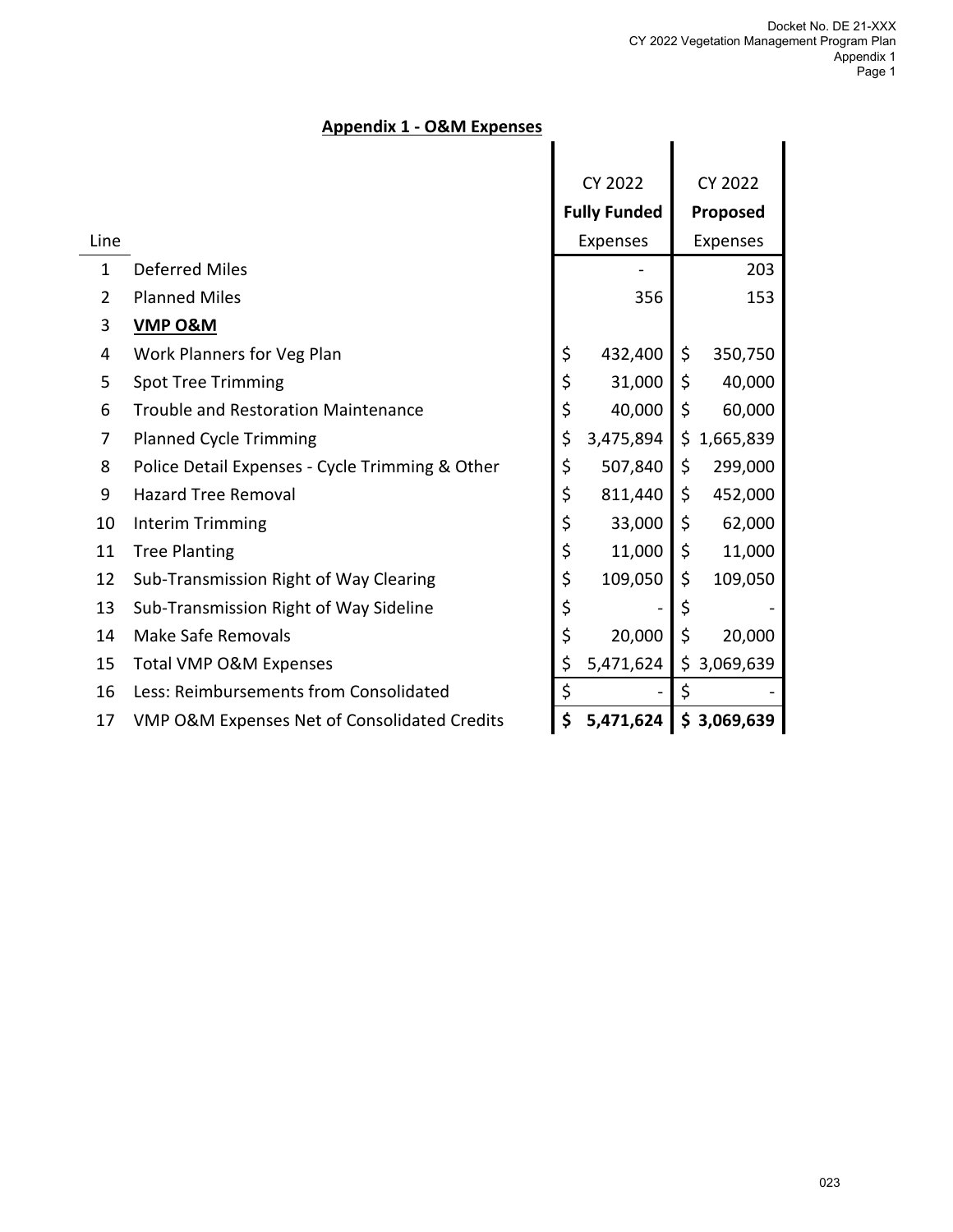# **Appendix 1 - O&M Expenses**

|              |                                                 | <b>CY 2022</b>      |           | <b>CY 2022</b> |             |
|--------------|-------------------------------------------------|---------------------|-----------|----------------|-------------|
|              |                                                 | <b>Fully Funded</b> |           | Proposed       |             |
| Line         |                                                 | Expenses            |           | Expenses       |             |
| $\mathbf{1}$ | <b>Deferred Miles</b>                           |                     | -         |                | 203         |
| 2            | <b>Planned Miles</b>                            |                     | 356       |                | 153         |
| 3            | <b>VMP O&amp;M</b>                              |                     |           |                |             |
| 4            | Work Planners for Veg Plan                      | \$                  | 432,400   | \$             | 350,750     |
| 5            | <b>Spot Tree Trimming</b>                       | \$                  | 31,000    | \$             | 40,000      |
| 6            | <b>Trouble and Restoration Maintenance</b>      | \$                  | 40,000    | \$             | 60,000      |
| 7            | <b>Planned Cycle Trimming</b>                   | \$                  | 3,475,894 |                | \$1,665,839 |
| 8            | Police Detail Expenses - Cycle Trimming & Other | \$                  | 507,840   | \$             | 299,000     |
| 9            | <b>Hazard Tree Removal</b>                      | \$                  | 811,440   | \$             | 452,000     |
| 10           | Interim Trimming                                | \$                  | 33,000    | \$             | 62,000      |
| 11           | <b>Tree Planting</b>                            | \$                  | 11,000    | \$             | 11,000      |
| 12           | Sub-Transmission Right of Way Clearing          | \$                  | 109,050   | \$             | 109,050     |
| 13           | Sub-Transmission Right of Way Sideline          | \$                  |           | \$             |             |
| 14           | Make Safe Removals                              | \$                  | 20,000    | \$             | 20,000      |
| 15           | <b>Total VMP O&amp;M Expenses</b>               | \$                  | 5,471,624 |                | \$3,069,639 |
| 16           | Less: Reimbursements from Consolidated          | \$                  |           | \$             |             |
| 17           | VMP O&M Expenses Net of Consolidated Credits    | \$                  | 5,471,624 |                | \$3,069,639 |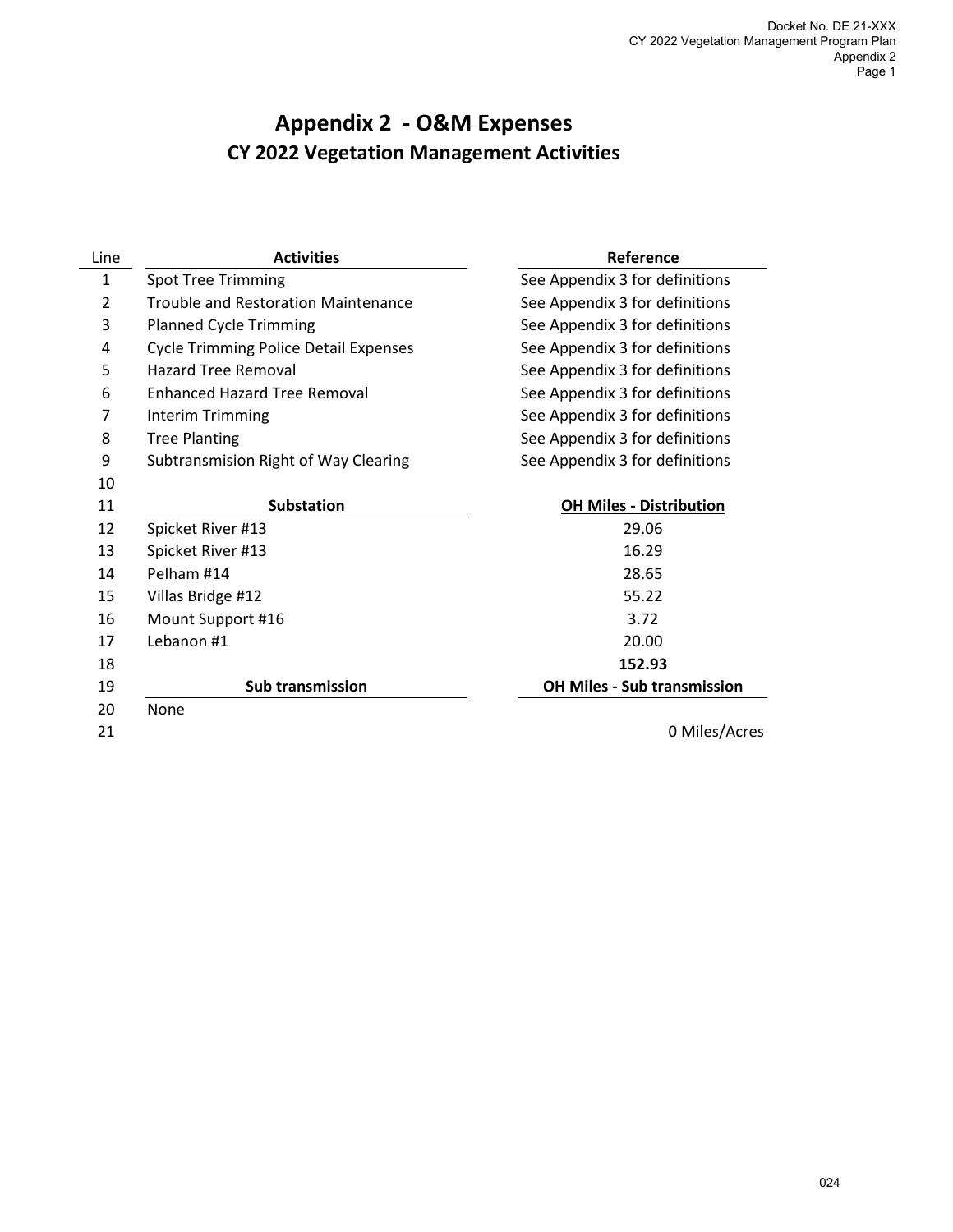# **Appendix 2 - O&M Expenses CY 2022 Vegetation Management Activities**

l,

| Line         | <b>Activities</b>                            | Reference                          |  |  |
|--------------|----------------------------------------------|------------------------------------|--|--|
| $\mathbf{1}$ | <b>Spot Tree Trimming</b>                    | See Appendix 3 for definitions     |  |  |
| 2            | Trouble and Restoration Maintenance          | See Appendix 3 for definitions     |  |  |
| 3            | <b>Planned Cycle Trimming</b>                | See Appendix 3 for definitions     |  |  |
| 4            | <b>Cycle Trimming Police Detail Expenses</b> | See Appendix 3 for definitions     |  |  |
| 5            | <b>Hazard Tree Removal</b>                   | See Appendix 3 for definitions     |  |  |
| 6            | <b>Enhanced Hazard Tree Removal</b>          | See Appendix 3 for definitions     |  |  |
| 7            | Interim Trimming                             | See Appendix 3 for definitions     |  |  |
| 8            | <b>Tree Planting</b>                         | See Appendix 3 for definitions     |  |  |
| 9            | Subtransmision Right of Way Clearing         | See Appendix 3 for definitions     |  |  |
| 10           |                                              |                                    |  |  |
| 11           | <b>Substation</b>                            | <b>OH Miles - Distribution</b>     |  |  |
| 12           | Spicket River #13                            | 29.06                              |  |  |
| 13           | Spicket River #13                            | 16.29                              |  |  |
| 14           | Pelham #14                                   | 28.65                              |  |  |
| 15           | Villas Bridge #12                            | 55.22                              |  |  |
| 16           | Mount Support #16                            | 3.72                               |  |  |
| 17           | Lebanon #1                                   | 20.00                              |  |  |
| 18           |                                              | 152.93                             |  |  |
| 19           | <b>Sub transmission</b>                      | <b>OH Miles - Sub transmission</b> |  |  |
| 20           | None                                         |                                    |  |  |
| 21           |                                              | 0 Miles/Acres                      |  |  |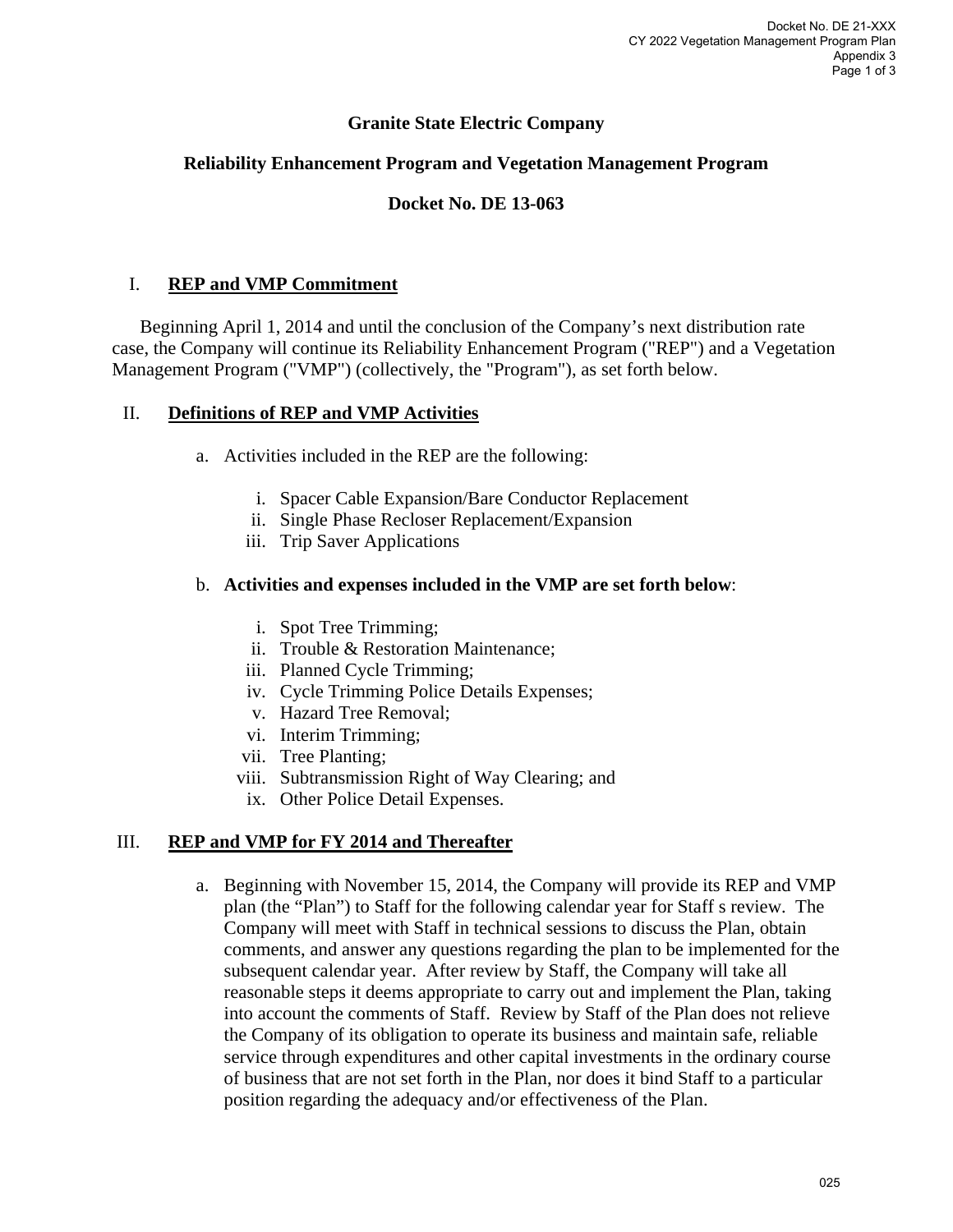## **Granite State Electric Company**

#### **Reliability Enhancement Program and Vegetation Management Program**

## **Docket No. DE 13-063**

#### I. **REP and VMP Commitment**

Beginning April 1, 2014 and until the conclusion of the Company's next distribution rate case, the Company will continue its Reliability Enhancement Program ("REP") and a Vegetation Management Program ("VMP") (collectively, the "Program"), as set forth below.

#### II. **Definitions of REP and VMP Activities**

- a. Activities included in the REP are the following:
	- i. Spacer Cable Expansion/Bare Conductor Replacement
	- ii. Single Phase Recloser Replacement/Expansion
	- iii. Trip Saver Applications

#### b. **Activities and expenses included in the VMP are set forth below**:

- i. Spot Tree Trimming;
- ii. Trouble & Restoration Maintenance;
- iii. Planned Cycle Trimming;
- iv. Cycle Trimming Police Details Expenses;
- v. Hazard Tree Removal;
- vi. Interim Trimming;
- vii. Tree Planting;
- viii. Subtransmission Right of Way Clearing; and
	- ix. Other Police Detail Expenses.

#### III. **REP and VMP for FY 2014 and Thereafter**

a. Beginning with November 15, 2014, the Company will provide its REP and VMP plan (the "Plan") to Staff for the following calendar year for Staff s review. The Company will meet with Staff in technical sessions to discuss the Plan, obtain comments, and answer any questions regarding the plan to be implemented for the subsequent calendar year. After review by Staff, the Company will take all reasonable steps it deems appropriate to carry out and implement the Plan, taking into account the comments of Staff. Review by Staff of the Plan does not relieve the Company of its obligation to operate its business and maintain safe, reliable service through expenditures and other capital investments in the ordinary course of business that are not set forth in the Plan, nor does it bind Staff to a particular position regarding the adequacy and/or effectiveness of the Plan.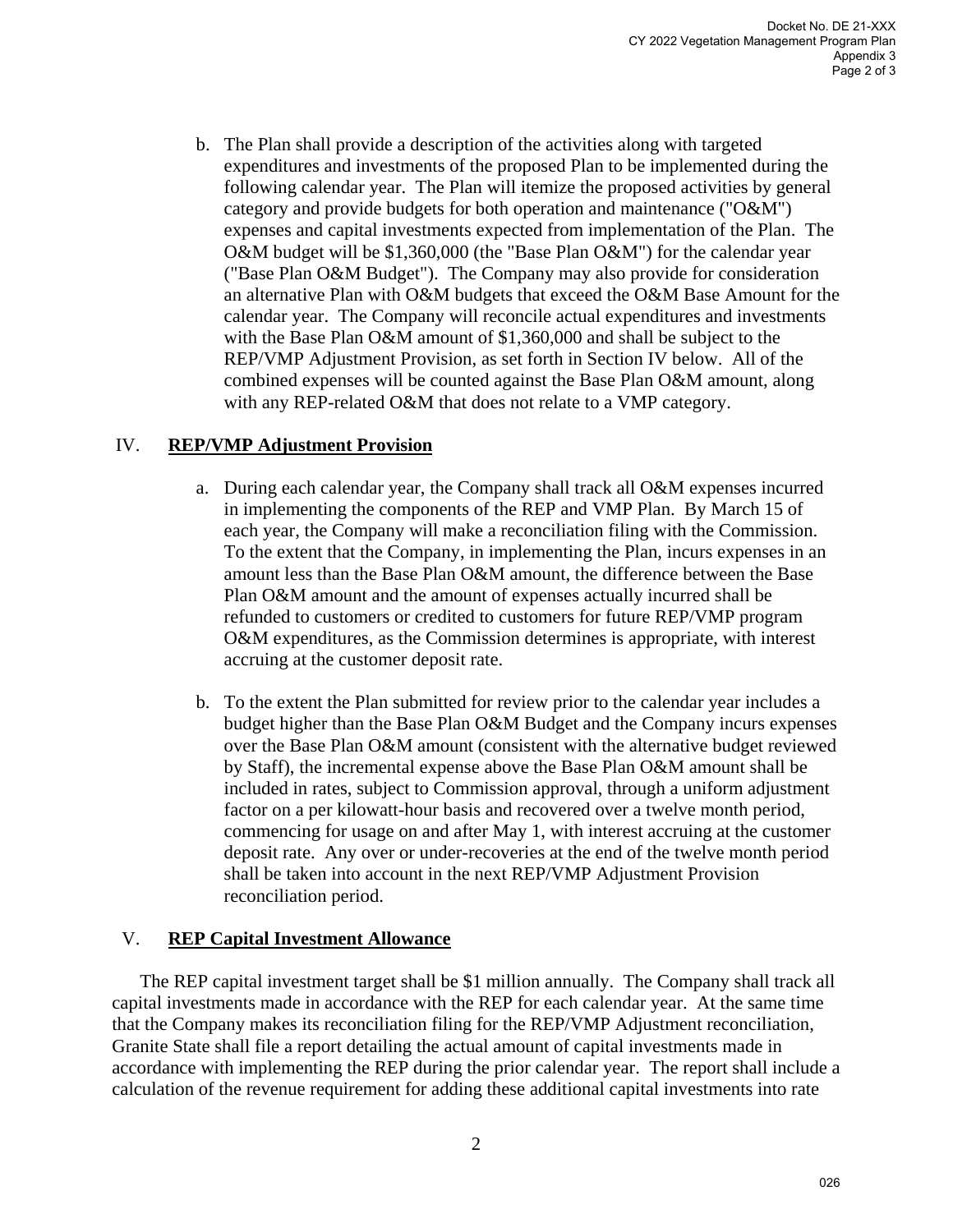b. The Plan shall provide a description of the activities along with targeted expenditures and investments of the proposed Plan to be implemented during the following calendar year. The Plan will itemize the proposed activities by general category and provide budgets for both operation and maintenance ("O&M") expenses and capital investments expected from implementation of the Plan. The O&M budget will be \$1,360,000 (the "Base Plan O&M") for the calendar year ("Base Plan O&M Budget"). The Company may also provide for consideration an alternative Plan with O&M budgets that exceed the O&M Base Amount for the calendar year. The Company will reconcile actual expenditures and investments with the Base Plan O&M amount of \$1,360,000 and shall be subject to the REP/VMP Adjustment Provision, as set forth in Section IV below. All of the combined expenses will be counted against the Base Plan O&M amount, along with any REP-related O&M that does not relate to a VMP category.

#### IV. **REP/VMP Adjustment Provision**

- a. During each calendar year, the Company shall track all O&M expenses incurred in implementing the components of the REP and VMP Plan. By March 15 of each year, the Company will make a reconciliation filing with the Commission. To the extent that the Company, in implementing the Plan, incurs expenses in an amount less than the Base Plan O&M amount, the difference between the Base Plan O&M amount and the amount of expenses actually incurred shall be refunded to customers or credited to customers for future REP/VMP program O&M expenditures, as the Commission determines is appropriate, with interest accruing at the customer deposit rate.
- b. To the extent the Plan submitted for review prior to the calendar year includes a budget higher than the Base Plan O&M Budget and the Company incurs expenses over the Base Plan O&M amount (consistent with the alternative budget reviewed by Staff), the incremental expense above the Base Plan O&M amount shall be included in rates, subject to Commission approval, through a uniform adjustment factor on a per kilowatt-hour basis and recovered over a twelve month period, commencing for usage on and after May 1, with interest accruing at the customer deposit rate. Any over or under-recoveries at the end of the twelve month period shall be taken into account in the next REP/VMP Adjustment Provision reconciliation period.

#### V. **REP Capital Investment Allowance**

The REP capital investment target shall be \$1 million annually. The Company shall track all capital investments made in accordance with the REP for each calendar year. At the same time that the Company makes its reconciliation filing for the REP/VMP Adjustment reconciliation, Granite State shall file a report detailing the actual amount of capital investments made in accordance with implementing the REP during the prior calendar year. The report shall include a calculation of the revenue requirement for adding these additional capital investments into rate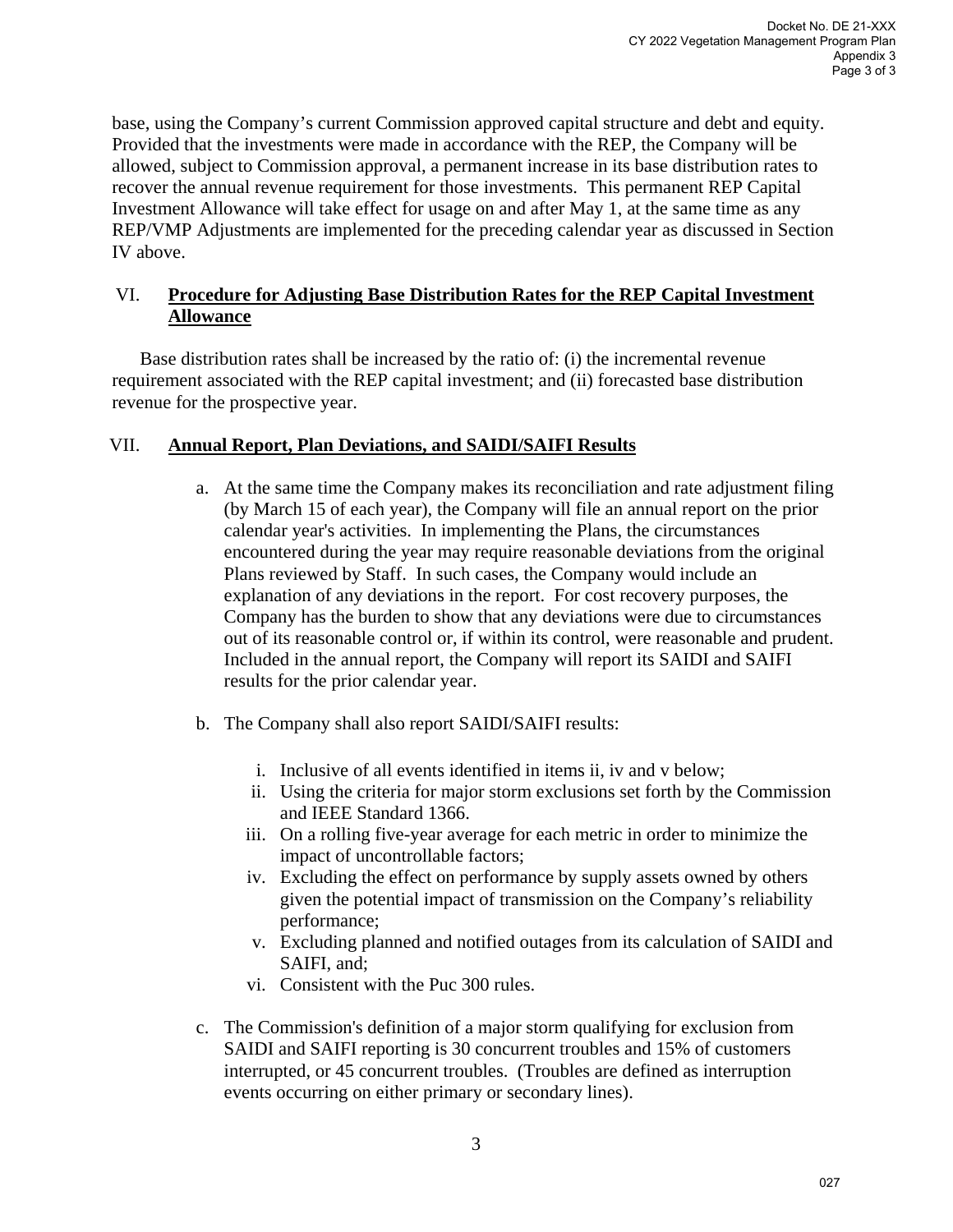base, using the Company's current Commission approved capital structure and debt and equity. Provided that the investments were made in accordance with the REP, the Company will be allowed, subject to Commission approval, a permanent increase in its base distribution rates to recover the annual revenue requirement for those investments. This permanent REP Capital Investment Allowance will take effect for usage on and after May 1, at the same time as any REP/VMP Adjustments are implemented for the preceding calendar year as discussed in Section IV above.

#### VI. **Procedure for Adjusting Base Distribution Rates for the REP Capital Investment Allowance**

Base distribution rates shall be increased by the ratio of: (i) the incremental revenue requirement associated with the REP capital investment; and (ii) forecasted base distribution revenue for the prospective year.

## VII. **Annual Report, Plan Deviations, and SAIDI/SAIFI Results**

- a. At the same time the Company makes its reconciliation and rate adjustment filing (by March 15 of each year), the Company will file an annual report on the prior calendar year's activities. In implementing the Plans, the circumstances encountered during the year may require reasonable deviations from the original Plans reviewed by Staff. In such cases, the Company would include an explanation of any deviations in the report. For cost recovery purposes, the Company has the burden to show that any deviations were due to circumstances out of its reasonable control or, if within its control, were reasonable and prudent. Included in the annual report, the Company will report its SAIDI and SAIFI results for the prior calendar year.
- b. The Company shall also report SAIDI/SAIFI results:
	- i. Inclusive of all events identified in items ii, iv and v below;
	- ii. Using the criteria for major storm exclusions set forth by the Commission and IEEE Standard 1366.
	- iii. On a rolling five-year average for each metric in order to minimize the impact of uncontrollable factors;
	- iv. Excluding the effect on performance by supply assets owned by others given the potential impact of transmission on the Company's reliability performance;
	- v. Excluding planned and notified outages from its calculation of SAIDI and SAIFI, and;
	- vi. Consistent with the Puc 300 rules.
- c. The Commission's definition of a major storm qualifying for exclusion from SAIDI and SAIFI reporting is 30 concurrent troubles and 15% of customers interrupted, or 45 concurrent troubles. (Troubles are defined as interruption events occurring on either primary or secondary lines).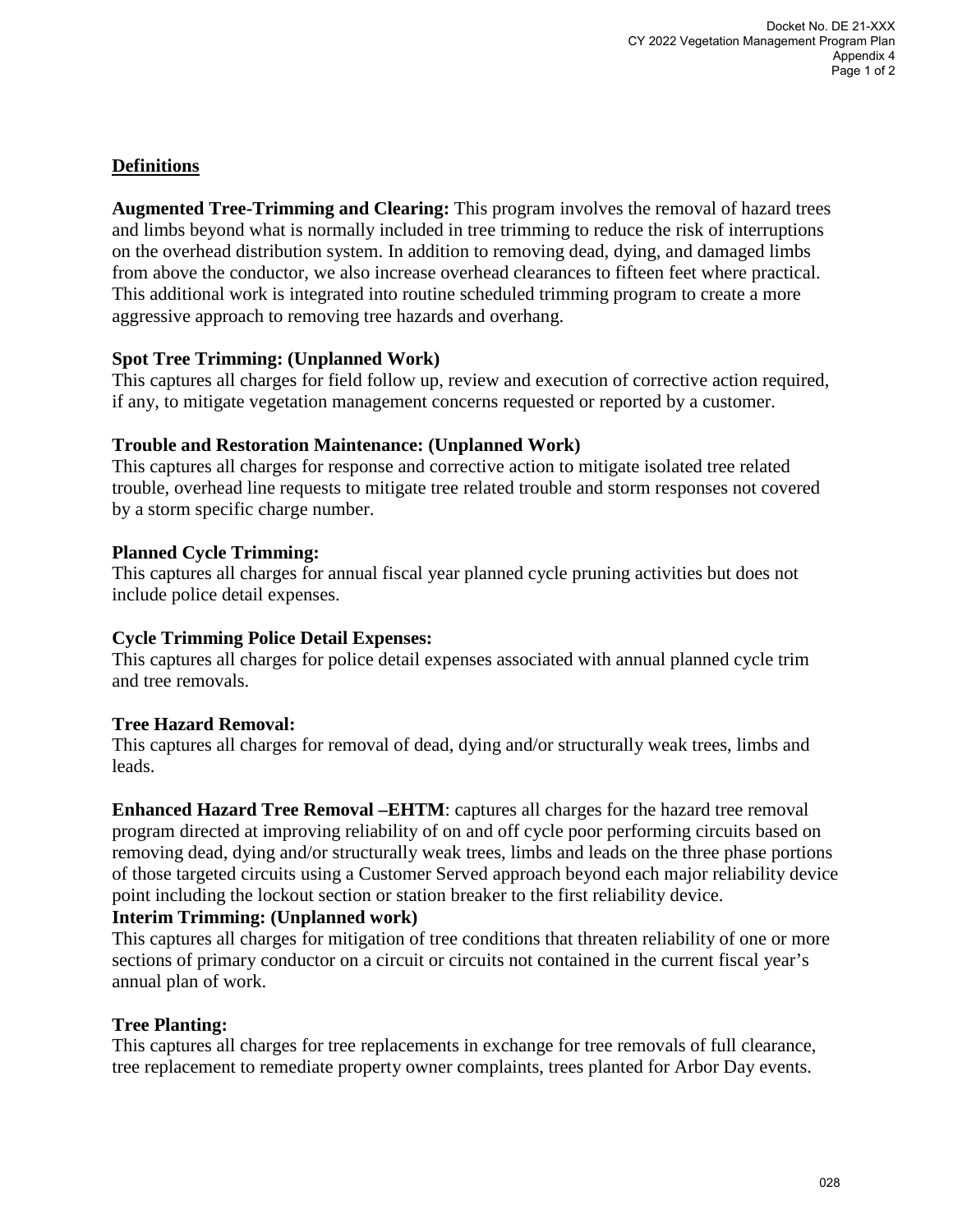# **Definitions**

**Augmented Tree-Trimming and Clearing:** This program involves the removal of hazard trees and limbs beyond what is normally included in tree trimming to reduce the risk of interruptions on the overhead distribution system. In addition to removing dead, dying, and damaged limbs from above the conductor, we also increase overhead clearances to fifteen feet where practical. This additional work is integrated into routine scheduled trimming program to create a more aggressive approach to removing tree hazards and overhang.

## **Spot Tree Trimming: (Unplanned Work)**

This captures all charges for field follow up, review and execution of corrective action required, if any, to mitigate vegetation management concerns requested or reported by a customer.

## **Trouble and Restoration Maintenance: (Unplanned Work)**

This captures all charges for response and corrective action to mitigate isolated tree related trouble, overhead line requests to mitigate tree related trouble and storm responses not covered by a storm specific charge number.

# **Planned Cycle Trimming:**

This captures all charges for annual fiscal year planned cycle pruning activities but does not include police detail expenses.

# **Cycle Trimming Police Detail Expenses:**

This captures all charges for police detail expenses associated with annual planned cycle trim and tree removals.

# **Tree Hazard Removal:**

This captures all charges for removal of dead, dying and/or structurally weak trees, limbs and leads.

**Enhanced Hazard Tree Removal – EHTM**: captures all charges for the hazard tree removal program directed at improving reliability of on and off cycle poor performing circuits based on removing dead, dying and/or structurally weak trees, limbs and leads on the three phase portions of those targeted circuits using a Customer Served approach beyond each major reliability device point including the lockout section or station breaker to the first reliability device.

# **Interim Trimming: (Unplanned work)**

This captures all charges for mitigation of tree conditions that threaten reliability of one or more sections of primary conductor on a circuit or circuits not contained in the current fiscal year's annual plan of work.

# **Tree Planting:**

This captures all charges for tree replacements in exchange for tree removals of full clearance, tree replacement to remediate property owner complaints, trees planted for Arbor Day events.